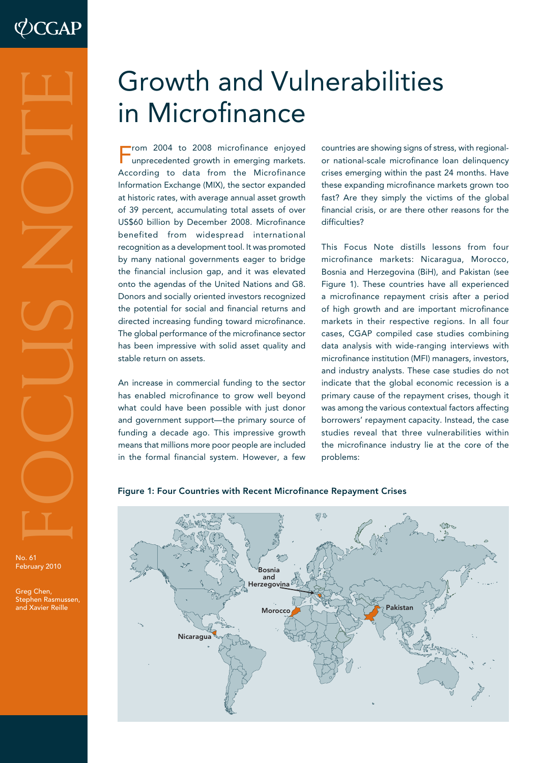

#### No. 61 February 2010

Greg Chen, Stephen Rasmussen<br>and Xavier Reille

# Growth and Vulnerabilities in Microfinance

From 2004 to 2008 microfinance enjoyed unprecedented growth in emerging markets. According to data from the Microfinance Information Exchange (MIX), the sector expanded at historic rates, with average annual asset growth of 39 percent, accumulating total assets of over US\$60 billion by December 2008. Microfinance benefited from widespread international recognition as a development tool. It was promoted by many national governments eager to bridge the financial inclusion gap, and it was elevated onto the agendas of the United Nations and G8. Donors and socially oriented investors recognized the potential for social and financial returns and directed increasing funding toward microfinance. The global performance of the microfinance sector has been impressive with solid asset quality and stable return on assets. From 2004 to 2008 microfinance enjoyed countries are those and the microfilm and the microfilm of the microfilm of the control of the countries with a second from the Microfilm of the Cause and the state of the countries w

An increase in commercial funding to the sector has enabled microfinance to grow well beyond what could have been possible with just donor and government support—the primary source of funding a decade ago. This impressive growth means that millions more poor people are included in the formal financial system. However, a few

countries are showing signs of stress, with regionalor national-scale microfinance loan delinquency crises emerging within the past 24 months. Have these expanding microfinance markets grown too fast? Are they simply the victims of the global financial crisis, or are there other reasons for the difficulties?

This Focus Note distills lessons from four microfinance markets: Nicaragua, Morocco, Bosnia and Herzegovina (BiH), and Pakistan (see Figure 1). These countries have all experienced a microfinance repayment crisis after a period of high growth and are important microfinance markets in their respective regions. In all four cases, CGAP compiled case studies combining data analysis with wide-ranging interviews with microfinance institution (MFI) managers, investors, and industry analysts. These case studies do not indicate that the global economic recession is a primary cause of the repayment crises, though it was among the various contextual factors affecting borrowers' repayment capacity. Instead, the case studies reveal that three vulnerabilities within the microfinance industry lie at the core of the problems:



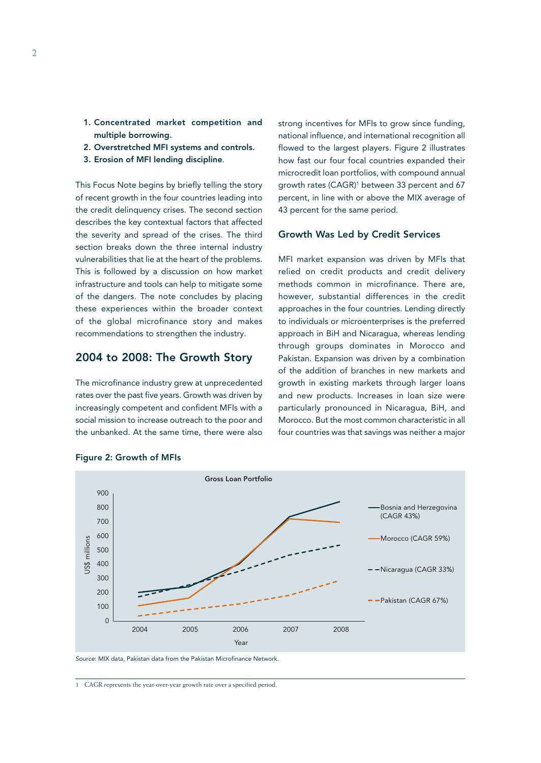- 1. Concentrated market competition and multiple borrowing.
- 2. Overstretched MFI systems and controls.
- 3. Erosion of MFI lending discipline.

This Focus Note begins by briefly telling the story of recent growth in the four countries leading into the credit delinquency crises. The second section describes the key contextual factors that affected the severity and spread of the crises. The third section breaks down the three internal industry vulnerabilities that lie at the heart of the problems. This is followed by a discussion on how market infrastructure and tools can help to mitigate some of the dangers. The note concludes by placing these experiences within the broader context of the global microfinance story and makes recommendations to strengthen the industry.

# 2004 to 2008: The Growth Story

The microfinance industry grew at unprecedented rates over the past five years. Growth was driven by increasingly competent and confident MFIs with a social mission to increase outreach to the poor and the unbanked. At the same time, there were also

strong incentives for MFIs to grow since funding, national influence, and international recognition all flowed to the largest players. Figure 2 illustrates how fast our four focal countries expanded their microcredit loan portfolios, with compound annual growth rates (CAGR)1 between 33 percent and 67 percent, in line with or above the MIX average of 43 percent for the same period.

#### Growth Was Led by Credit Services

MFI market expansion was driven by MFIs that relied on credit products and credit delivery methods common in microfinance. There are, however, substantial differences in the credit approaches in the four countries. Lending directly to individuals or microenterprises is the preferred approach in BiH and Nicaragua, whereas lending through groups dominates in Morocco and Pakistan. Expansion was driven by a combination of the addition of branches in new markets and growth in existing markets through larger loans and new products. Increases in loan size were particularly pronounced in Nicaragua, BiH, and Morocco. But the most common characteristic in all four countries was that savings was neither a major



Figure 2: Growth of MFIs

*Source*: MIX data, Pakistan data from the Pakistan Microfinance Network.

1 CAGR represents the year-over-year growth rate over a specified period.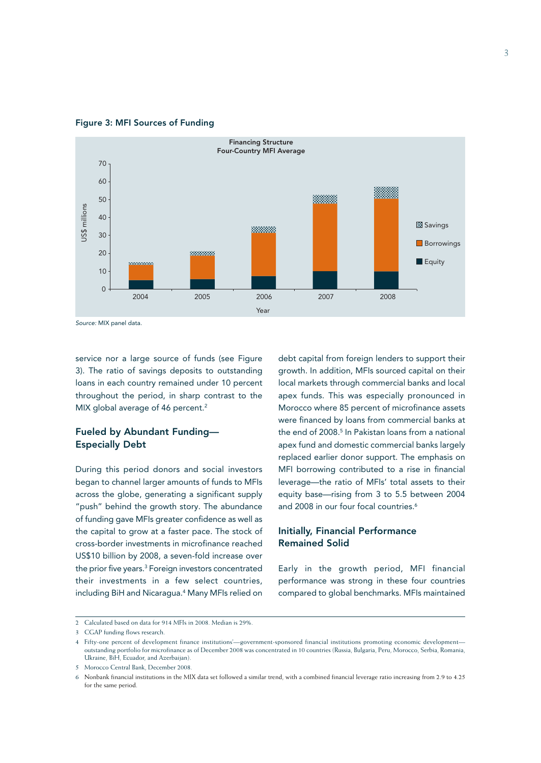



*Source:* MIX panel data.

service nor a large source of funds (see Figure 3). The ratio of savings deposits to outstanding loans in each country remained under 10 percent throughout the period, in sharp contrast to the MIX global average of 46 percent.<sup>2</sup>

# Fueled by Abundant Funding— Especially Debt

During this period donors and social investors began to channel larger amounts of funds to MFIs across the globe, generating a significant supply "push" behind the growth story. The abundance of funding gave MFIs greater confidence as well as the capital to grow at a faster pace. The stock of cross-border investments in microfinance reached US\$10 billion by 2008, a seven-fold increase over the prior five years.3 Foreign investors concentrated their investments in a few select countries, including BiH and Nicaragua.<sup>4</sup> Many MFIs relied on

debt capital from foreign lenders to support their growth. In addition, MFIs sourced capital on their local markets through commercial banks and local apex funds. This was especially pronounced in Morocco where 85 percent of microfinance assets were financed by loans from commercial banks at the end of 2008.<sup>5</sup> In Pakistan loans from a national apex fund and domestic commercial banks largely replaced earlier donor support. The emphasis on MFI borrowing contributed to a rise in financial leverage—the ratio of MFIs' total assets to their equity base—rising from 3 to 5.5 between 2004 and 2008 in our four focal countries.<sup>6</sup>

## Initially, Financial Performance Remained Solid

Early in the growth period, MFI financial performance was strong in these four countries compared to global benchmarks. MFIs maintained

<sup>2</sup> Calculated based on data for 914 MFIs in 2008. Median is 29%.

<sup>3</sup> CGAP funding flows research.

<sup>4</sup> Fifty-one percent of development finance institutions'—government-sponsored financial institutions promoting economic development outstanding portfolio for microfinance as of December 2008 was concentrated in 10 countries (Russia, Bulgaria, Peru, Morocco, Serbia, Romania, Ukraine, BiH, Ecuador, and Azerbaijan).

<sup>5</sup> Morocco Central Bank, December 2008.

<sup>6</sup> Nonbank financial institutions in the MIX data set followed a similar trend, with a combined financial leverage ratio increasing from 2.9 to 4.25 for the same period.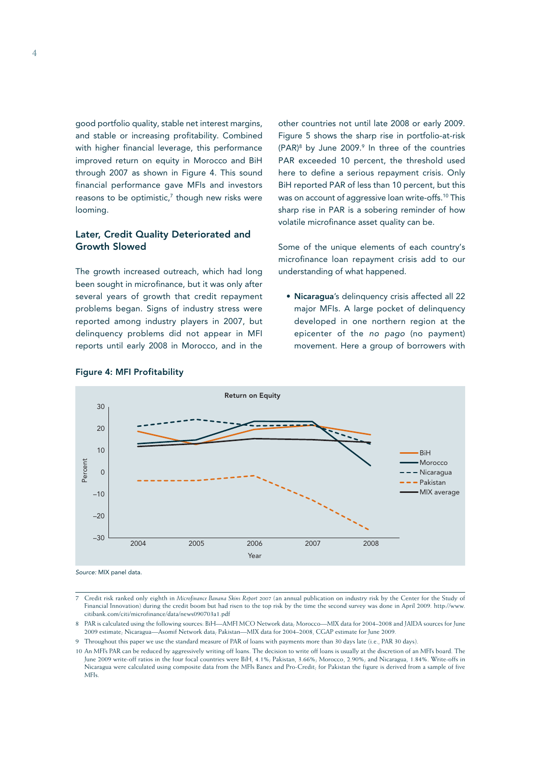good portfolio quality, stable net interest margins, and stable or increasing profitability. Combined with higher financial leverage, this performance improved return on equity in Morocco and BiH through 2007 as shown in Figure 4. This sound financial performance gave MFIs and investors reasons to be optimistic, $7$  though new risks were looming.

#### Later, Credit Quality Deteriorated and Growth Slowed

The growth increased outreach, which had long been sought in microfinance, but it was only after several years of growth that credit repayment problems began. Signs of industry stress were reported among industry players in 2007, but delinquency problems did not appear in MFI reports until early 2008 in Morocco, and in the

other countries not until late 2008 or early 2009. Figure 5 shows the sharp rise in portfolio-at-risk (PAR)8 by June 2009.9 In three of the countries PAR exceeded 10 percent, the threshold used here to define a serious repayment crisis. Only BiH reported PAR of less than 10 percent, but this was on account of aggressive loan write-offs.<sup>10</sup> This sharp rise in PAR is a sobering reminder of how volatile microfinance asset quality can be.

Some of the unique elements of each country's microfinance loan repayment crisis add to our understanding of what happened.

• Nicaragua's delinquency crisis affected all 22 major MFIs. A large pocket of delinquency developed in one northern region at the epicenter of the *no pago* (no payment) movement. Here a group of borrowers with



#### Figure 4: MFI Profitability

*Source:* MIX panel data.

<sup>7</sup> Credit risk ranked only eighth in *Microfinance Banana Skins Report 2007* (an annual publication on industry risk by the Center for the Study of Financial Innovation) during the credit boom but had risen to the top risk by the time the second survey was done in April 2009. http://www. citibank.com/citi/microfinance/data/news090703a1.pdf

<sup>8</sup> PAR is calculated using the following sources: BiH—AMFI MCO Network data; Morocco—MIX data for 2004–2008 and JAIDA sources for June 2009 estimate; Nicaragua—Asomif Network data; Pakistan—MIX data for 2004–2008, CGAP estimate for June 2009.

<sup>9</sup> Throughout this paper we use the standard measure of PAR of loans with payments more than 30 days late (i.e., PAR 30 days).

<sup>10</sup> An MFI's PAR can be reduced by aggressively writing off loans. The decision to write off loans is usually at the discretion of an MFI's board. The June 2009 write-off ratios in the four focal countries were BiH, 4.1%; Pakistan, 3.66%; Morocco, 2.90%; and Nicaragua, 1.84%. Write-offs in Nicaragua were calculated using composite data from the MFIs Banex and Pro-Credit; for Pakistan the figure is derived from a sample of five MFIs.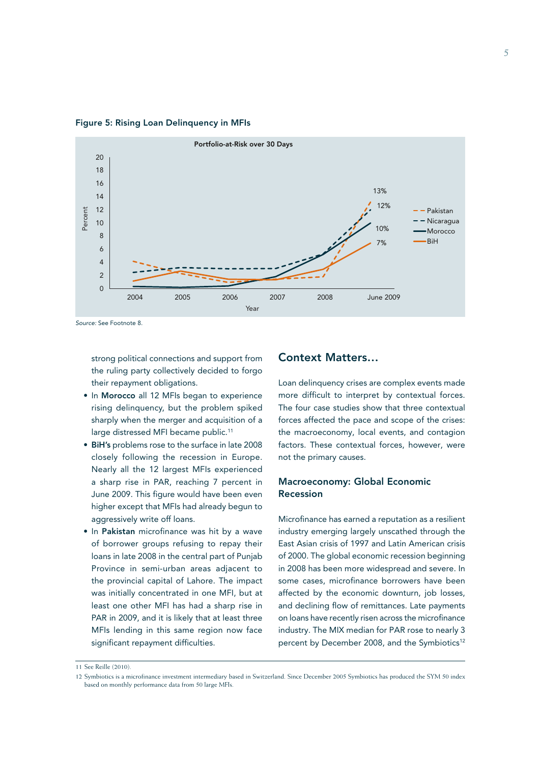

Figure 5: Rising Loan Delinquency in MFIs

*Source:* See Footnote 8.

strong political connections and support from the ruling party collectively decided to forgo their repayment obligations.

- In Morocco all 12 MFIs began to experience rising delinquency, but the problem spiked sharply when the merger and acquisition of a large distressed MFI became public.<sup>11</sup>
- BiH's problems rose to the surface in late 2008 closely following the recession in Europe. Nearly all the 12 largest MFIs experienced a sharp rise in PAR, reaching 7 percent in June 2009. This figure would have been even higher except that MFIs had already begun to aggressively write off loans.
- In Pakistan microfinance was hit by a wave of borrower groups refusing to repay their loans in late 2008 in the central part of Punjab Province in semi-urban areas adjacent to the provincial capital of Lahore. The impact was initially concentrated in one MFI, but at least one other MFI has had a sharp rise in PAR in 2009, and it is likely that at least three MFIs lending in this same region now face significant repayment difficulties.

## Context Matters…

Loan delinquency crises are complex events made more difficult to interpret by contextual forces. The four case studies show that three contextual forces affected the pace and scope of the crises: the macroeconomy, local events, and contagion factors. These contextual forces, however, were not the primary causes.

## Macroeconomy: Global Economic Recession

Microfinance has earned a reputation as a resilient industry emerging largely unscathed through the East Asian crisis of 1997 and Latin American crisis of 2000. The global economic recession beginning in 2008 has been more widespread and severe. In some cases, microfinance borrowers have been affected by the economic downturn, job losses, and declining flow of remittances. Late payments on loans have recently risen across the microfinance industry. The MIX median for PAR rose to nearly 3 percent by December 2008, and the Symbiotics<sup>12</sup>

<sup>11</sup> See Reille (2010).

<sup>12</sup> Symbiotics is a microfinance investment intermediary based in Switzerland. Since December 2005 Symbiotics has produced the SYM 50 index based on monthly performance data from 50 large MFIs.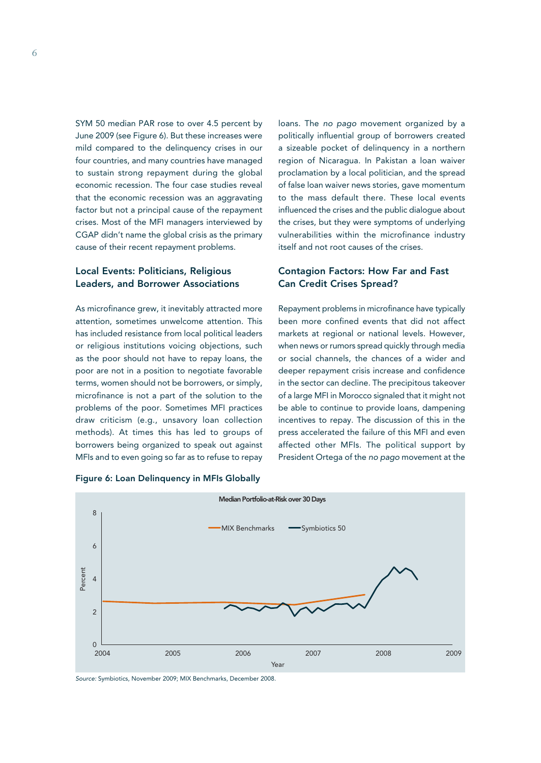SYM 50 median PAR rose to over 4.5 percent by June 2009 (see Figure 6). But these increases were mild compared to the delinquency crises in our four countries, and many countries have managed to sustain strong repayment during the global economic recession. The four case studies reveal that the economic recession was an aggravating factor but not a principal cause of the repayment crises. Most of the MFI managers interviewed by CGAP didn't name the global crisis as the primary cause of their recent repayment problems.

#### Local Events: Politicians, Religious Leaders, and Borrower Associations

As microfinance grew, it inevitably attracted more attention, sometimes unwelcome attention. This has included resistance from local political leaders or religious institutions voicing objections, such as the poor should not have to repay loans, the poor are not in a position to negotiate favorable terms, women should not be borrowers, or simply, microfinance is not a part of the solution to the problems of the poor. Sometimes MFI practices draw criticism (e.g., unsavory loan collection methods). At times this has led to groups of borrowers being organized to speak out against MFIs and to even going so far as to refuse to repay



loans. The *no pago* movement organized by a politically influential group of borrowers created a sizeable pocket of delinquency in a northern region of Nicaragua. In Pakistan a loan waiver proclamation by a local politician, and the spread of false loan waiver news stories, gave momentum to the mass default there. These local events influenced the crises and the public dialogue about the crises, but they were symptoms of underlying vulnerabilities within the microfinance industry itself and not root causes of the crises.

## Contagion Factors: How Far and Fast Can Credit Crises Spread?

Repayment problems in microfinance have typically been more confined events that did not affect markets at regional or national levels. However, when news or rumors spread quickly through media or social channels, the chances of a wider and deeper repayment crisis increase and confidence in the sector can decline. The precipitous takeover of a large MFI in Morocco signaled that it might not be able to continue to provide loans, dampening incentives to repay. The discussion of this in the press accelerated the failure of this MFI and even affected other MFIs. The political support by President Ortega of the *no pago* movement at the



*Source:* Symbiotics, November 2009; MIX Benchmarks, December 2008.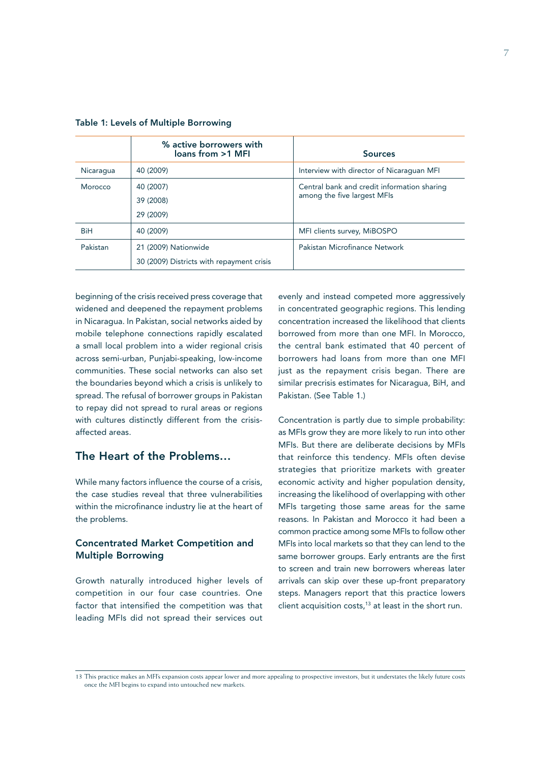|            | % active borrowers with<br>loans from >1 MFI | <b>Sources</b>                                                             |
|------------|----------------------------------------------|----------------------------------------------------------------------------|
| Nicaragua  | 40 (2009)                                    | Interview with director of Nicaraguan MFI                                  |
| Morocco    | 40 (2007)                                    | Central bank and credit information sharing<br>among the five largest MFIs |
|            | 39 (2008)                                    |                                                                            |
|            | 29 (2009)                                    |                                                                            |
| <b>BiH</b> | 40 (2009)                                    | MFI clients survey, MiBOSPO                                                |
| Pakistan   | 21 (2009) Nationwide                         | Pakistan Microfinance Network                                              |
|            | 30 (2009) Districts with repayment crisis    |                                                                            |

Table 1: Levels of Multiple Borrowing

beginning of the crisis received press coverage that widened and deepened the repayment problems in Nicaragua. In Pakistan, social networks aided by mobile telephone connections rapidly escalated a small local problem into a wider regional crisis across semi-urban, Punjabi-speaking, low-income communities. These social networks can also set the boundaries beyond which a crisis is unlikely to spread. The refusal of borrower groups in Pakistan to repay did not spread to rural areas or regions with cultures distinctly different from the crisisaffected areas.

# The Heart of the Problems…

While many factors influence the course of a crisis, the case studies reveal that three vulnerabilities within the microfinance industry lie at the heart of the problems.

## Concentrated Market Competition and Multiple Borrowing

Growth naturally introduced higher levels of competition in our four case countries. One factor that intensified the competition was that leading MFIs did not spread their services out

evenly and instead competed more aggressively in concentrated geographic regions. This lending concentration increased the likelihood that clients borrowed from more than one MFI. In Morocco, the central bank estimated that 40 percent of borrowers had loans from more than one MFI just as the repayment crisis began. There are similar precrisis estimates for Nicaragua, BiH, and Pakistan. (See Table 1.)

Concentration is partly due to simple probability: as MFIs grow they are more likely to run into other MFIs. But there are deliberate decisions by MFIs that reinforce this tendency. MFIs often devise strategies that prioritize markets with greater economic activity and higher population density, increasing the likelihood of overlapping with other MFIs targeting those same areas for the same reasons. In Pakistan and Morocco it had been a common practice among some MFIs to follow other MFIs into local markets so that they can lend to the same borrower groups. Early entrants are the first to screen and train new borrowers whereas later arrivals can skip over these up-front preparatory steps. Managers report that this practice lowers client acquisition costs, $13$  at least in the short run.

13 This practice makes an MFI's expansion costs appear lower and more appealing to prospective investors, but it understates the likely future costs once the MFI begins to expand into untouched new markets.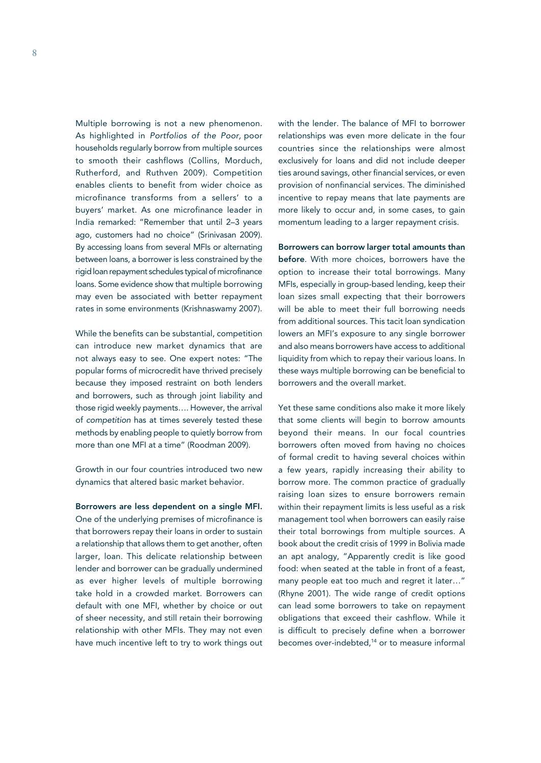Multiple borrowing is not a new phenomenon. As highlighted in *Portfolios of the Poor,* poor households regularly borrow from multiple sources to smooth their cashflows (Collins, Morduch, Rutherford, and Ruthven 2009). Competition enables clients to benefit from wider choice as microfinance transforms from a sellers' to a buyers' market. As one microfinance leader in India remarked: "Remember that until 2–3 years ago, customers had no choice" (Srinivasan 2009). By accessing loans from several MFIs or alternating between loans, a borrower is less constrained by the rigid loan repayment schedules typical of microfinance loans. Some evidence show that multiple borrowing may even be associated with better repayment rates in some environments (Krishnaswamy 2007).

While the benefits can be substantial, competition can introduce new market dynamics that are not always easy to see. One expert notes: "The popular forms of microcredit have thrived precisely because they imposed restraint on both lenders and borrowers, such as through joint liability and those rigid weekly payments…. However, the arrival of *competition* has at times severely tested these methods by enabling people to quietly borrow from more than one MFI at a time" (Roodman 2009).

Growth in our four countries introduced two new dynamics that altered basic market behavior.

Borrowers are less dependent on a single MFI. One of the underlying premises of microfinance is that borrowers repay their loans in order to sustain a relationship that allows them to get another, often larger, loan. This delicate relationship between lender and borrower can be gradually undermined as ever higher levels of multiple borrowing take hold in a crowded market. Borrowers can default with one MFI, whether by choice or out of sheer necessity, and still retain their borrowing relationship with other MFIs. They may not even have much incentive left to try to work things out

with the lender. The balance of MFI to borrower relationships was even more delicate in the four countries since the relationships were almost exclusively for loans and did not include deeper ties around savings, other financial services, or even provision of nonfinancial services. The diminished incentive to repay means that late payments are more likely to occur and, in some cases, to gain momentum leading to a larger repayment crisis.

Borrowers can borrow larger total amounts than before. With more choices, borrowers have the option to increase their total borrowings. Many MFIs, especially in group-based lending, keep their loan sizes small expecting that their borrowers will be able to meet their full borrowing needs from additional sources. This tacit loan syndication lowers an MFI's exposure to any single borrower and also means borrowers have access to additional liquidity from which to repay their various loans. In these ways multiple borrowing can be beneficial to borrowers and the overall market.

Yet these same conditions also make it more likely that some clients will begin to borrow amounts beyond their means. In our focal countries borrowers often moved from having no choices of formal credit to having several choices within a few years, rapidly increasing their ability to borrow more. The common practice of gradually raising loan sizes to ensure borrowers remain within their repayment limits is less useful as a risk management tool when borrowers can easily raise their total borrowings from multiple sources. A book about the credit crisis of 1999 in Bolivia made an apt analogy, "Apparently credit is like good food: when seated at the table in front of a feast, many people eat too much and regret it later…" (Rhyne 2001). The wide range of credit options can lead some borrowers to take on repayment obligations that exceed their cashflow. While it is difficult to precisely define when a borrower becomes over-indebted,<sup>14</sup> or to measure informal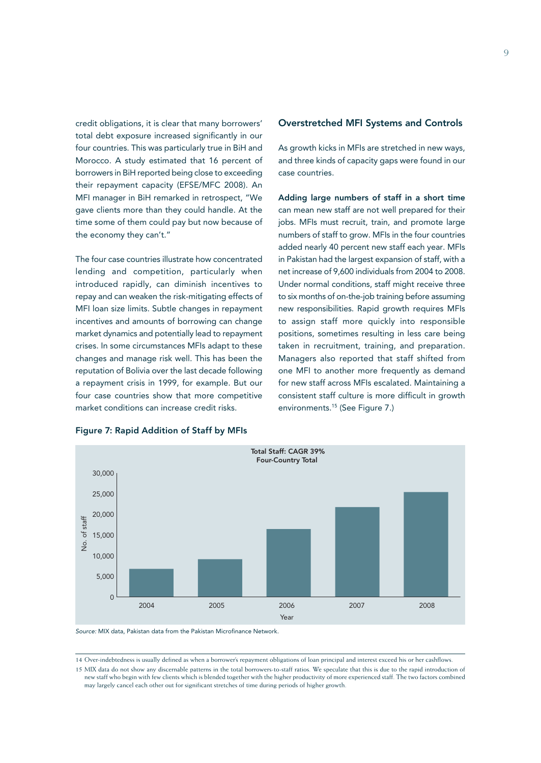credit obligations, it is clear that many borrowers' total debt exposure increased significantly in our four countries. This was particularly true in BiH and Morocco. A study estimated that 16 percent of borrowers in BiH reported being close to exceeding their repayment capacity (EFSE/MFC 2008). An MFI manager in BiH remarked in retrospect, "We gave clients more than they could handle. At the time some of them could pay but now because of the economy they can't."

The four case countries illustrate how concentrated lending and competition, particularly when introduced rapidly, can diminish incentives to repay and can weaken the risk-mitigating effects of MFI loan size limits. Subtle changes in repayment incentives and amounts of borrowing can change market dynamics and potentially lead to repayment crises. In some circumstances MFIs adapt to these changes and manage risk well. This has been the reputation of Bolivia over the last decade following a repayment crisis in 1999, for example. But our four case countries show that more competitive market conditions can increase credit risks.



#### Overstretched MFI Systems and Controls

As growth kicks in MFIs are stretched in new ways, and three kinds of capacity gaps were found in our case countries.

Adding large numbers of staff in a short time can mean new staff are not well prepared for their jobs. MFIs must recruit, train, and promote large numbers of staff to grow. MFIs in the four countries added nearly 40 percent new staff each year. MFIs in Pakistan had the largest expansion of staff, with a net increase of 9,600 individuals from 2004 to 2008. Under normal conditions, staff might receive three to six months of on-the-job training before assuming new responsibilities. Rapid growth requires MFIs to assign staff more quickly into responsible positions, sometimes resulting in less care being taken in recruitment, training, and preparation. Managers also reported that staff shifted from one MFI to another more frequently as demand for new staff across MFIs escalated. Maintaining a consistent staff culture is more difficult in growth environments.15 (See Figure 7.)



*Source:* MIX data, Pakistan data from the Pakistan Microfinance Network.

14 Over-indebtedness is usually defined as when a borrower's repayment obligations of loan principal and interest exceed his or her cashflows.

15 MIX data do not show any discernable patterns in the total borrowers-to-staff ratios. We speculate that this is due to the rapid introduction of new staff who begin with few clients which is blended together with the higher productivity of more experienced staff. The two factors combined may largely cancel each other out for significant stretches of time during periods of higher growth.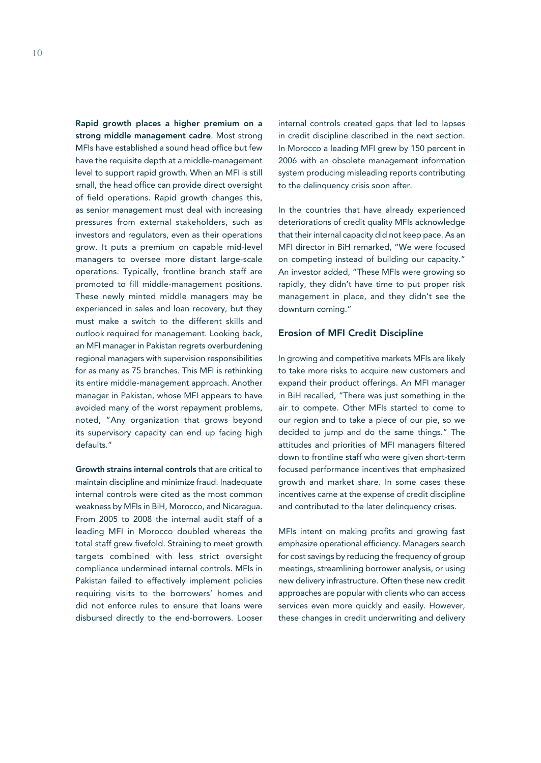Rapid growth places a higher premium on a strong middle management cadre. Most strong MFIs have established a sound head office but few have the requisite depth at a middle-management level to support rapid growth. When an MFI is still small, the head office can provide direct oversight of field operations. Rapid growth changes this, as senior management must deal with increasing pressures from external stakeholders, such as investors and regulators, even as their operations grow. It puts a premium on capable mid-level managers to oversee more distant large-scale operations. Typically, frontline branch staff are promoted to fill middle-management positions. These newly minted middle managers may be experienced in sales and loan recovery, but they must make a switch to the different skills and outlook required for management. Looking back, an MFI manager in Pakistan regrets overburdening regional managers with supervision responsibilities for as many as 75 branches. This MFI is rethinking its entire middle-management approach. Another manager in Pakistan, whose MFI appears to have avoided many of the worst repayment problems, noted, "Any organization that grows beyond its supervisory capacity can end up facing high defaults."

Growth strains internal controls that are critical to maintain discipline and minimize fraud. Inadequate internal controls were cited as the most common weakness by MFIs in BiH, Morocco, and Nicaragua. From 2005 to 2008 the internal audit staff of a leading MFI in Morocco doubled whereas the total staff grew fivefold. Straining to meet growth targets combined with less strict oversight compliance undermined internal controls. MFIs in Pakistan failed to effectively implement policies requiring visits to the borrowers' homes and did not enforce rules to ensure that loans were disbursed directly to the end-borrowers. Looser

internal controls created gaps that led to lapses in credit discipline described in the next section. In Morocco a leading MFI grew by 150 percent in 2006 with an obsolete management information system producing misleading reports contributing to the delinquency crisis soon after.

In the countries that have already experienced deteriorations of credit quality MFIs acknowledge that their internal capacity did not keep pace. As an MFI director in BiH remarked, "We were focused on competing instead of building our capacity." An investor added, "These MFIs were growing so rapidly, they didn't have time to put proper risk management in place, and they didn't see the downturn coming."

#### Erosion of MFI Credit Discipline

In growing and competitive markets MFIs are likely to take more risks to acquire new customers and expand their product offerings. An MFI manager in BiH recalled, "There was just something in the air to compete. Other MFIs started to come to our region and to take a piece of our pie, so we decided to jump and do the same things." The attitudes and priorities of MFI managers filtered down to frontline staff who were given short-term focused performance incentives that emphasized growth and market share. In some cases these incentives came at the expense of credit discipline and contributed to the later delinquency crises.

MFIs intent on making profits and growing fast emphasize operational efficiency. Managers search for cost savings by reducing the frequency of group meetings, streamlining borrower analysis, or using new delivery infrastructure. Often these new credit approaches are popular with clients who can access services even more quickly and easily. However, these changes in credit underwriting and delivery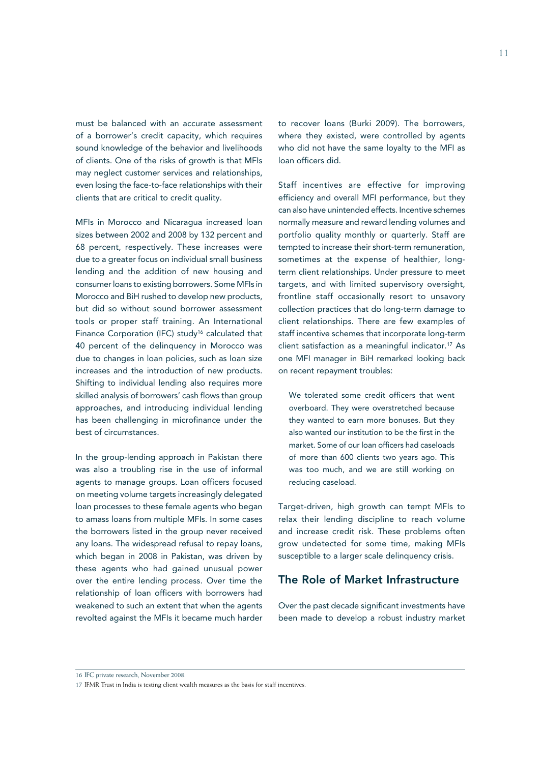must be balanced with an accurate assessment of a borrower's credit capacity, which requires sound knowledge of the behavior and livelihoods of clients. One of the risks of growth is that MFIs may neglect customer services and relationships, even losing the face-to-face relationships with their clients that are critical to credit quality.

MFIs in Morocco and Nicaragua increased loan sizes between 2002 and 2008 by 132 percent and 68 percent, respectively. These increases were due to a greater focus on individual small business lending and the addition of new housing and consumer loans to existing borrowers. Some MFIs in Morocco and BiH rushed to develop new products, but did so without sound borrower assessment tools or proper staff training. An International Finance Corporation (IFC) study<sup>16</sup> calculated that 40 percent of the delinquency in Morocco was due to changes in loan policies, such as loan size increases and the introduction of new products. Shifting to individual lending also requires more skilled analysis of borrowers' cash flows than group approaches, and introducing individual lending has been challenging in microfinance under the best of circumstances.

In the group-lending approach in Pakistan there was also a troubling rise in the use of informal agents to manage groups. Loan officers focused on meeting volume targets increasingly delegated loan processes to these female agents who began to amass loans from multiple MFIs. In some cases the borrowers listed in the group never received any loans. The widespread refusal to repay loans, which began in 2008 in Pakistan, was driven by these agents who had gained unusual power over the entire lending process. Over time the relationship of loan officers with borrowers had weakened to such an extent that when the agents revolted against the MFIs it became much harder

to recover loans (Burki 2009). The borrowers, where they existed, were controlled by agents who did not have the same loyalty to the MFI as loan officers did.

Staff incentives are effective for improving efficiency and overall MFI performance, but they can also have unintended effects. Incentive schemes normally measure and reward lending volumes and portfolio quality monthly or quarterly. Staff are tempted to increase their short-term remuneration, sometimes at the expense of healthier, longterm client relationships. Under pressure to meet targets, and with limited supervisory oversight, frontline staff occasionally resort to unsavory collection practices that do long-term damage to client relationships. There are few examples of staff incentive schemes that incorporate long-term client satisfaction as a meaningful indicator.<sup>17</sup> As one MFI manager in BiH remarked looking back on recent repayment troubles:

We tolerated some credit officers that went overboard. They were overstretched because they wanted to earn more bonuses. But they also wanted our institution to be the first in the market. Some of our loan officers had caseloads of more than 600 clients two years ago. This was too much, and we are still working on reducing caseload.

Target-driven, high growth can tempt MFIs to relax their lending discipline to reach volume and increase credit risk. These problems often grow undetected for some time, making MFIs susceptible to a larger scale delinquency crisis.

# The Role of Market Infrastructure

Over the past decade significant investments have been made to develop a robust industry market

<sup>16</sup> IFC private research, November 2008.

<sup>17</sup> IFMR Trust in India is testing client wealth measures as the basis for staff incentives.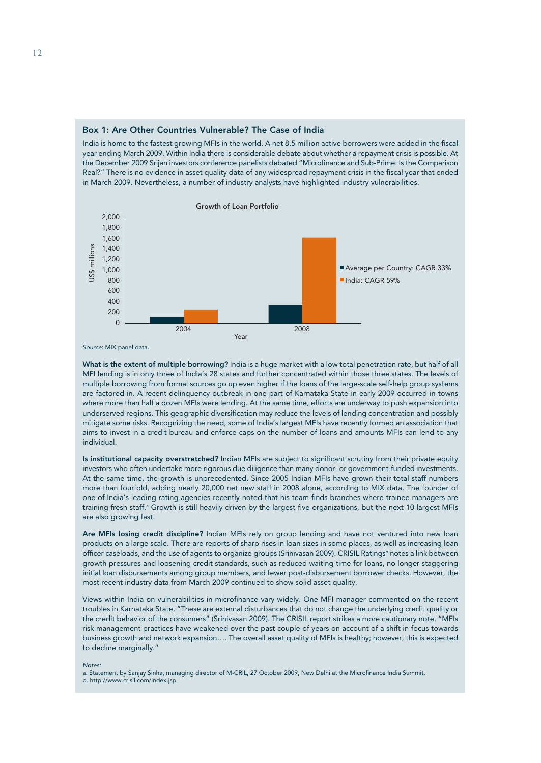

India is home to the fastest growing MFIs in the world. A net 8.5 million active borrowers were added in the fiscal year ending March 2009. Within India there is considerable debate about whether a repayment crisis is possible. At the December 2009 Srijan investors conference panelists debated "Microfinance and Sub-Prime: Is the Comparison Real?" There is no evidence in asset quality data of any widespread repayment crisis in the fiscal year that ended in March 2009. Nevertheless, a number of industry analysts have highlighted industry vulnerabilities.



*Source*: MIX panel data.

What is the extent of multiple borrowing? India is a huge market with a low total penetration rate, but half of all MFI lending is in only three of India's 28 states and further concentrated within those three states. The levels of multiple borrowing from formal sources go up even higher if the loans of the large-scale self-help group systems are factored in. A recent delinquency outbreak in one part of Karnataka State in early 2009 occurred in towns where more than half a dozen MFIs were lending. At the same time, efforts are underway to push expansion into underserved regions. This geographic diversification may reduce the levels of lending concentration and possibly mitigate some risks. Recognizing the need, some of India's largest MFIs have recently formed an association that aims to invest in a credit bureau and enforce caps on the number of loans and amounts MFIs can lend to any individual.

Is institutional capacity overstretched? Indian MFIs are subject to significant scrutiny from their private equity investors who often undertake more rigorous due diligence than many donor- or government-funded investments. At the same time, the growth is unprecedented. Since 2005 Indian MFIs have grown their total staff numbers more than fourfold, adding nearly 20,000 net new staff in 2008 alone, according to MIX data. The founder of one of India's leading rating agencies recently noted that his team finds branches where trainee managers are training fresh staff.ª Growth is still heavily driven by the largest five organizations, but the next 10 largest MFIs are also growing fast.

Are MFIs losing credit discipline? Indian MFIs rely on group lending and have not ventured into new loan products on a large scale. There are reports of sharp rises in loan sizes in some places, as well as increasing loan officer caseloads, and the use of agents to organize groups (Srinivasan 2009). CRISIL Ratings<sup>b</sup> notes a link between growth pressures and loosening credit standards, such as reduced waiting time for loans, no longer staggering initial loan disbursements among group members, and fewer post-disbursement borrower checks. However, the most recent industry data from March 2009 continued to show solid asset quality.

Views within India on vulnerabilities in microfinance vary widely. One MFI manager commented on the recent troubles in Karnataka State, "These are external disturbances that do not change the underlying credit quality or the credit behavior of the consumers" (Srinivasan 2009). The CRISIL report strikes a more cautionary note, "MFIs risk management practices have weakened over the past couple of years on account of a shift in focus towards business growth and network expansion…. The overall asset quality of MFIs is healthy; however, this is expected to decline marginally."

*Notes:*

a. Statement by Sanjay Sinha, managing director of M-CRIL, 27 October 2009, New Delhi at the Microfinance India Summit. b. http://www.crisil.com/index.jsp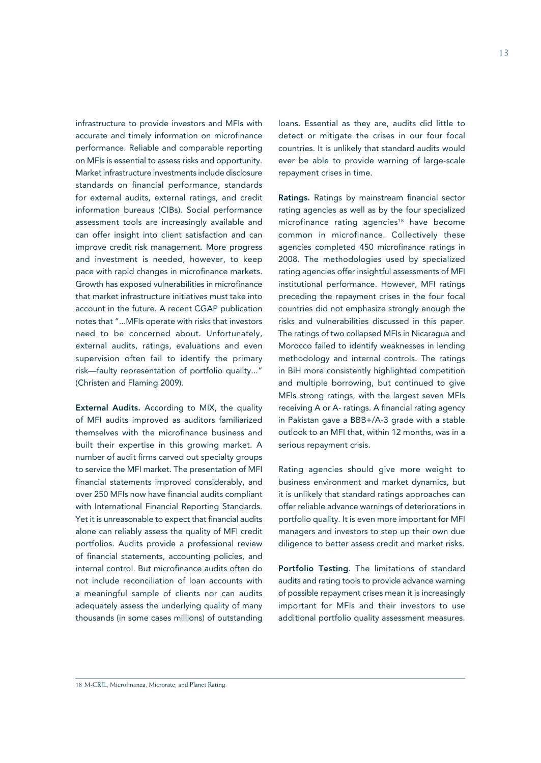infrastructure to provide investors and MFIs with accurate and timely information on microfinance performance. Reliable and comparable reporting on MFIs is essential to assess risks and opportunity. Market infrastructure investments include disclosure standards on financial performance, standards for external audits, external ratings, and credit information bureaus (CIBs). Social performance assessment tools are increasingly available and can offer insight into client satisfaction and can improve credit risk management. More progress and investment is needed, however, to keep pace with rapid changes in microfinance markets. Growth has exposed vulnerabilities in microfinance that market infrastructure initiatives must take into account in the future. A recent CGAP publication notes that "...MFIs operate with risks that investors need to be concerned about. Unfortunately, external audits, ratings, evaluations and even supervision often fail to identify the primary risk—faulty representation of portfolio quality..." (Christen and Flaming 2009).

External Audits. According to MIX, the quality of MFI audits improved as auditors familiarized themselves with the microfinance business and built their expertise in this growing market. A number of audit firms carved out specialty groups to service the MFI market. The presentation of MFI financial statements improved considerably, and over 250 MFIs now have financial audits compliant with International Financial Reporting Standards. Yet it is unreasonable to expect that financial audits alone can reliably assess the quality of MFI credit portfolios. Audits provide a professional review of financial statements, accounting policies, and internal control. But microfinance audits often do not include reconciliation of loan accounts with a meaningful sample of clients nor can audits adequately assess the underlying quality of many thousands (in some cases millions) of outstanding

loans. Essential as they are, audits did little to detect or mitigate the crises in our four focal countries. It is unlikely that standard audits would ever be able to provide warning of large-scale repayment crises in time.

Ratings. Ratings by mainstream financial sector rating agencies as well as by the four specialized microfinance rating agencies<sup>18</sup> have become common in microfinance. Collectively these agencies completed 450 microfinance ratings in 2008. The methodologies used by specialized rating agencies offer insightful assessments of MFI institutional performance. However, MFI ratings preceding the repayment crises in the four focal countries did not emphasize strongly enough the risks and vulnerabilities discussed in this paper. The ratings of two collapsed MFIs in Nicaragua and Morocco failed to identify weaknesses in lending methodology and internal controls. The ratings in BiH more consistently highlighted competition and multiple borrowing, but continued to give MFIs strong ratings, with the largest seven MFIs receiving A or A- ratings. A financial rating agency in Pakistan gave a BBB+/A-3 grade with a stable outlook to an MFI that, within 12 months, was in a serious repayment crisis.

Rating agencies should give more weight to business environment and market dynamics, but it is unlikely that standard ratings approaches can offer reliable advance warnings of deteriorations in portfolio quality. It is even more important for MFI managers and investors to step up their own due diligence to better assess credit and market risks.

Portfolio Testing. The limitations of standard audits and rating tools to provide advance warning of possible repayment crises mean it is increasingly important for MFIs and their investors to use additional portfolio quality assessment measures.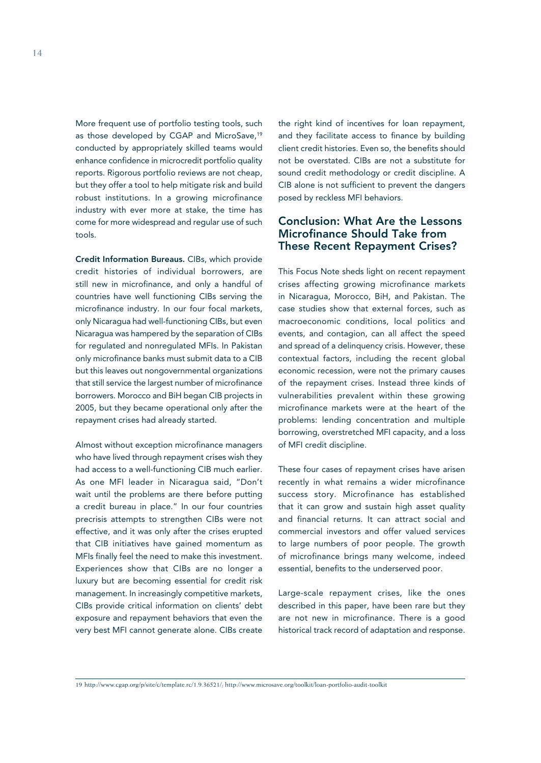More frequent use of portfolio testing tools, such as those developed by CGAP and MicroSave,<sup>19</sup> conducted by appropriately skilled teams would enhance confidence in microcredit portfolio quality reports. Rigorous portfolio reviews are not cheap, but they offer a tool to help mitigate risk and build robust institutions. In a growing microfinance industry with ever more at stake, the time has come for more widespread and regular use of such tools.

Credit Information Bureaus. CIBs, which provide credit histories of individual borrowers, are still new in microfinance, and only a handful of countries have well functioning CIBs serving the microfinance industry. In our four focal markets, only Nicaragua had well-functioning CIBs, but even Nicaragua was hampered by the separation of CIBs for regulated and nonregulated MFIs. In Pakistan only microfinance banks must submit data to a CIB but this leaves out nongovernmental organizations that still service the largest number of microfinance borrowers. Morocco and BiH began CIB projects in 2005, but they became operational only after the repayment crises had already started.

Almost without exception microfinance managers who have lived through repayment crises wish they had access to a well-functioning CIB much earlier. As one MFI leader in Nicaragua said, "Don't wait until the problems are there before putting a credit bureau in place." In our four countries precrisis attempts to strengthen CIBs were not effective, and it was only after the crises erupted that CIB initiatives have gained momentum as MFIs finally feel the need to make this investment. Experiences show that CIBs are no longer a luxury but are becoming essential for credit risk management. In increasingly competitive markets, CIBs provide critical information on clients' debt exposure and repayment behaviors that even the very best MFI cannot generate alone. CIBs create

the right kind of incentives for loan repayment, and they facilitate access to finance by building client credit histories. Even so, the benefits should not be overstated. CIBs are not a substitute for sound credit methodology or credit discipline. A CIB alone is not sufficient to prevent the dangers posed by reckless MFI behaviors.

# Conclusion: What Are the Lessons Microfinance Should Take from These Recent Repayment Crises?

This Focus Note sheds light on recent repayment crises affecting growing microfinance markets in Nicaragua, Morocco, BiH, and Pakistan. The case studies show that external forces, such as macroeconomic conditions, local politics and events, and contagion, can all affect the speed and spread of a delinquency crisis. However, these contextual factors, including the recent global economic recession, were not the primary causes of the repayment crises. Instead three kinds of vulnerabilities prevalent within these growing microfinance markets were at the heart of the problems: lending concentration and multiple borrowing, overstretched MFI capacity, and a loss of MFI credit discipline.

These four cases of repayment crises have arisen recently in what remains a wider microfinance success story. Microfinance has established that it can grow and sustain high asset quality and financial returns. It can attract social and commercial investors and offer valued services to large numbers of poor people. The growth of microfinance brings many welcome, indeed essential, benefits to the underserved poor.

Large-scale repayment crises, like the ones described in this paper, have been rare but they are not new in microfinance. There is a good historical track record of adaptation and response.

19 http://www.cgap.org/p/site/c/template.rc/1.9.36521/; http://www.microsave.org/toolkit/loan-portfolio-audit-toolkit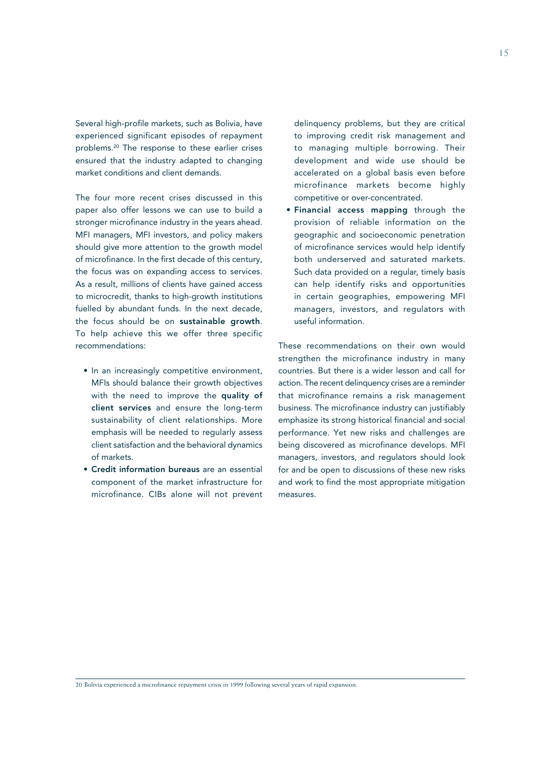Several high-profile markets, such as Bolivia, have experienced significant episodes of repayment problems.20 The response to these earlier crises ensured that the industry adapted to changing market conditions and client demands.

The four more recent crises discussed in this paper also offer lessons we can use to build a stronger microfinance industry in the years ahead. MFI managers, MFI investors, and policy makers should give more attention to the growth model of microfinance. In the first decade of this century, the focus was on expanding access to services. As a result, millions of clients have gained access to microcredit, thanks to high-growth institutions fuelled by abundant funds. In the next decade, the focus should be on sustainable growth. To help achieve this we offer three specific recommendations:

- In an increasingly competitive environment, MFIs should balance their growth objectives with the need to improve the quality of client services and ensure the long-term sustainability of client relationships. More emphasis will be needed to regularly assess client satisfaction and the behavioral dynamics of markets.
- Credit information bureaus are an essential component of the market infrastructure for microfinance. CIBs alone will not prevent

delinquency problems, but they are critical to improving credit risk management and to managing multiple borrowing. Their development and wide use should be accelerated on a global basis even before microfinance markets become highly competitive or over-concentrated.

• Financial access mapping through the provision of reliable information on the geographic and socioeconomic penetration of microfinance services would help identify both underserved and saturated markets. Such data provided on a regular, timely basis can help identify risks and opportunities in certain geographies, empowering MFI managers, investors, and regulators with useful information.

These recommendations on their own would strengthen the microfinance industry in many countries. But there is a wider lesson and call for action. The recent delinquency crises are a reminder that microfinance remains a risk management business. The microfinance industry can justifiably emphasize its strong historical financial and social performance. Yet new risks and challenges are being discovered as microfinance develops. MFI managers, investors, and regulators should look for and be open to discussions of these new risks and work to find the most appropriate mitigation measures.

20 Bolivia experienced a microfinance repayment crisis in 1999 following several years of rapid expansion.